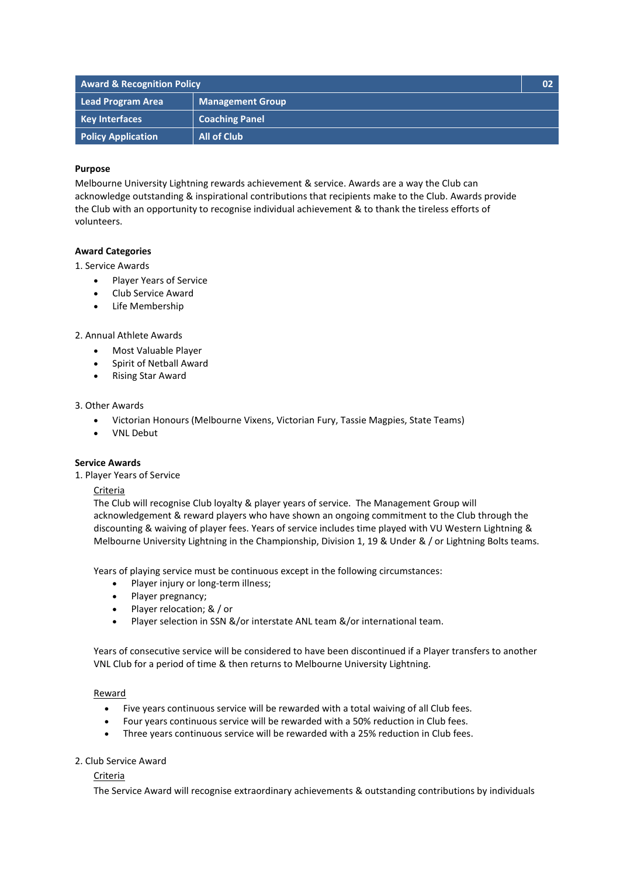| <b>Award &amp; Recognition Policy</b> |                         | 02 <sub>2</sub> |
|---------------------------------------|-------------------------|-----------------|
| Lead Program Area                     | <b>Management Group</b> |                 |
| <b>Key Interfaces</b>                 | <b>Coaching Panel</b>   |                 |
| <b>Policy Application</b>             | <b>All of Club</b>      |                 |

### **Purpose**

Melbourne University Lightning rewards achievement & service. Awards are a way the Club can acknowledge outstanding & inspirational contributions that recipients make to the Club. Awards provide the Club with an opportunity to recognise individual achievement & to thank the tireless efforts of volunteers.

### **Award Categories**

### 1. Service Awards

- Player Years of Service
- Club Service Award
- Life Membership

### 2. Annual Athlete Awards

- Most Valuable Player
- Spirit of Netball Award
- Rising Star Award

#### 3. Other Awards

- Victorian Honours (Melbourne Vixens, Victorian Fury, Tassie Magpies, State Teams)
- VNL Debut

# **Service Awards**

1. Player Years of Service

#### Criteria

The Club will recognise Club loyalty & player years of service. The Management Group will acknowledgement & reward players who have shown an ongoing commitment to the Club through the discounting & waiving of player fees. Years of service includes time played with VU Western Lightning & Melbourne University Lightning in the Championship, Division 1, 19 & Under & / or Lightning Bolts teams.

Years of playing service must be continuous except in the following circumstances:

- Player injury or long-term illness;
- Player pregnancy;
- Player relocation; & / or
- Player selection in SSN &/or interstate ANL team &/or international team.

Years of consecutive service will be considered to have been discontinued if a Player transfers to another VNL Club for a period of time & then returns to Melbourne University Lightning.

#### Reward

- Five years continuous service will be rewarded with a total waiving of all Club fees.
- Four years continuous service will be rewarded with a 50% reduction in Club fees.
- Three years continuous service will be rewarded with a 25% reduction in Club fees.

### 2. Club Service Award

## Criteria

The Service Award will recognise extraordinary achievements & outstanding contributions by individuals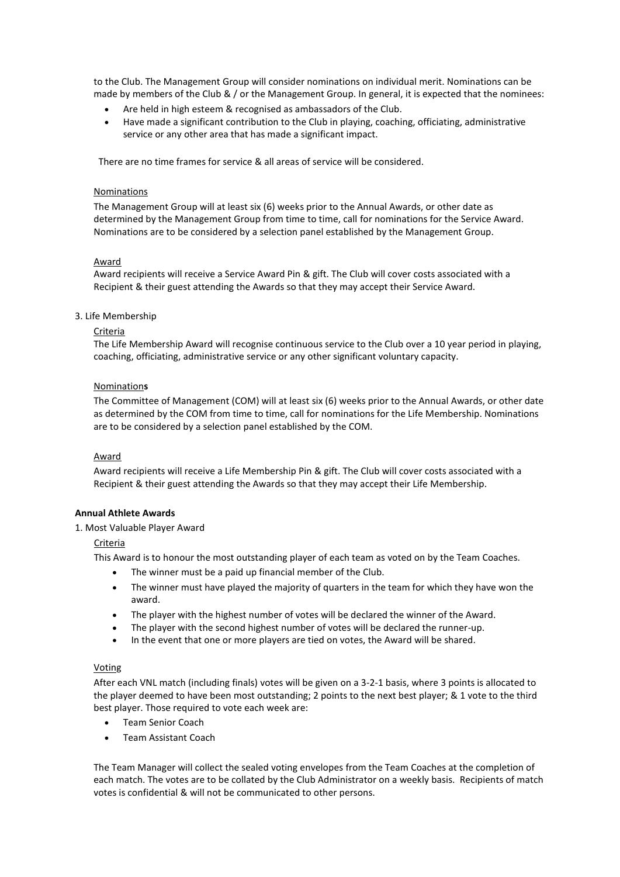to the Club. The Management Group will consider nominations on individual merit. Nominations can be made by members of the Club & / or the Management Group. In general, it is expected that the nominees:

- Are held in high esteem & recognised as ambassadors of the Club.
- Have made a significant contribution to the Club in playing, coaching, officiating, administrative service or any other area that has made a significant impact.

There are no time frames for service & all areas of service will be considered.

### Nominations

The Management Group will at least six (6) weeks prior to the Annual Awards, or other date as determined by the Management Group from time to time, call for nominations for the Service Award. Nominations are to be considered by a selection panel established by the Management Group.

### Award

Award recipients will receive a Service Award Pin & gift. The Club will cover costs associated with a Recipient & their guest attending the Awards so that they may accept their Service Award.

### 3. Life Membership

### **Criteria**

The Life Membership Award will recognise continuous service to the Club over a 10 year period in playing, coaching, officiating, administrative service or any other significant voluntary capacity.

### Nomination**s**

The Committee of Management (COM) will at least six (6) weeks prior to the Annual Awards, or other date as determined by the COM from time to time, call for nominations for the Life Membership. Nominations are to be considered by a selection panel established by the COM.

## Award

Award recipients will receive a Life Membership Pin & gift. The Club will cover costs associated with a Recipient & their guest attending the Awards so that they may accept their Life Membership.

## **Annual Athlete Awards**

#### 1. Most Valuable Player Award

Criteria

This Award is to honour the most outstanding player of each team as voted on by the Team Coaches.

- The winner must be a paid up financial member of the Club.
- The winner must have played the majority of quarters in the team for which they have won the award.
- The player with the highest number of votes will be declared the winner of the Award.
- The player with the second highest number of votes will be declared the runner-up.
- In the event that one or more players are tied on votes, the Award will be shared.

#### Voting

After each VNL match (including finals) votes will be given on a 3-2-1 basis, where 3 points is allocated to the player deemed to have been most outstanding; 2 points to the next best player; & 1 vote to the third best player. Those required to vote each week are:

- Team Senior Coach
- Team Assistant Coach

The Team Manager will collect the sealed voting envelopes from the Team Coaches at the completion of each match. The votes are to be collated by the Club Administrator on a weekly basis. Recipients of match votes is confidential & will not be communicated to other persons.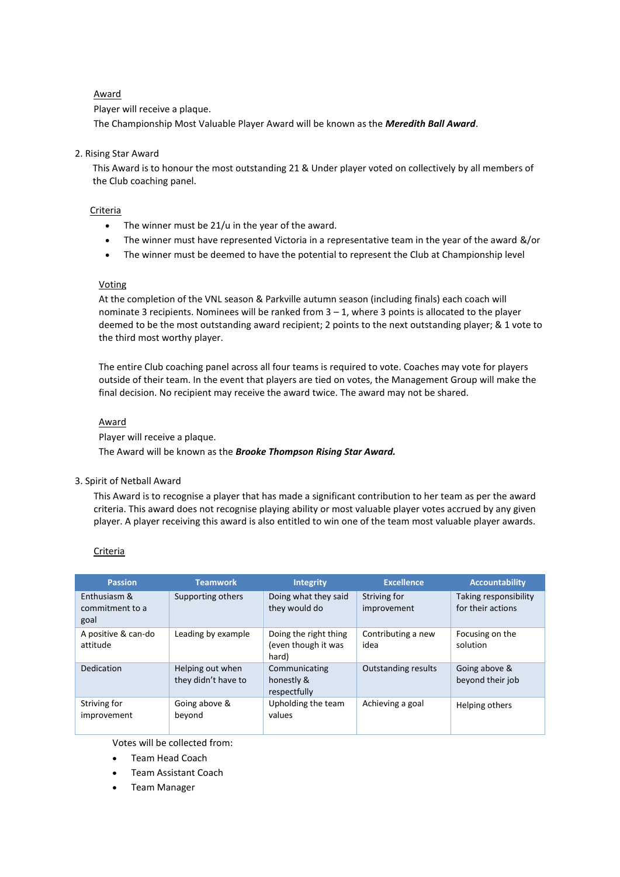# Award

Player will receive a plaque.

The Championship Most Valuable Player Award will be known as the *Meredith Ball Award*.

## 2. Rising Star Award

This Award is to honour the most outstanding 21 & Under player voted on collectively by all members of the Club coaching panel.

## Criteria

- The winner must be 21/u in the year of the award.
- The winner must have represented Victoria in a representative team in the year of the award &/or
- The winner must be deemed to have the potential to represent the Club at Championship level

## **Voting**

At the completion of the VNL season & Parkville autumn season (including finals) each coach will nominate 3 recipients. Nominees will be ranked from 3 – 1, where 3 points is allocated to the player deemed to be the most outstanding award recipient; 2 points to the next outstanding player; & 1 vote to the third most worthy player.

The entire Club coaching panel across all four teams is required to vote. Coaches may vote for players outside of their team. In the event that players are tied on votes, the Management Group will make the final decision. No recipient may receive the award twice. The award may not be shared.

## Award

Player will receive a plaque.

The Award will be known as the *Brooke Thompson Rising Star Award.*

## 3. Spirit of Netball Award

This Award is to recognise a player that has made a significant contribution to her team as per the award criteria. This award does not recognise playing ability or most valuable player votes accrued by any given player. A player receiving this award is also entitled to win one of the team most valuable player awards.

## Criteria

| <b>Passion</b>                          | <b>Teamwork</b>                         | <b>Integrity</b>                                      | <b>Excellence</b>           | <b>Accountability</b>                      |
|-----------------------------------------|-----------------------------------------|-------------------------------------------------------|-----------------------------|--------------------------------------------|
| Enthusiasm &<br>commitment to a<br>goal | Supporting others                       | Doing what they said<br>they would do                 | Striving for<br>improvement | Taking responsibility<br>for their actions |
| A positive & can-do<br>attitude         | Leading by example                      | Doing the right thing<br>(even though it was<br>hard) | Contributing a new<br>idea  | Focusing on the<br>solution                |
| Dedication                              | Helping out when<br>they didn't have to | Communicating<br>honestly &<br>respectfully           | <b>Outstanding results</b>  | Going above &<br>beyond their job          |
| Striving for<br>improvement             | Going above &<br>beyond                 | Upholding the team<br>values                          | Achieving a goal            | Helping others                             |

Votes will be collected from:

- Team Head Coach
- Team Assistant Coach
- Team Manager